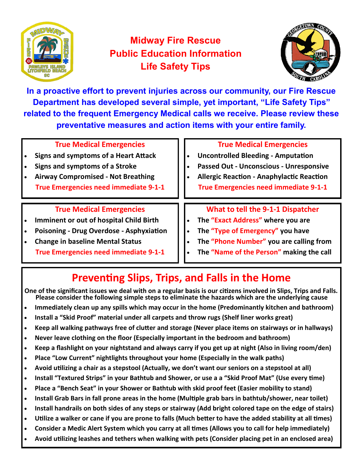

## **Midway Fire Rescue Public Education Information Life Safety Tips**



**In a proactive effort to prevent injuries across our community, our Fire Rescue Department has developed several simple, yet important, "Life Safety Tips" related to the frequent Emergency Medical calls we receive. Please review these preventative measures and action items with your entire family.** 

| <b>True Medical Emergencies</b><br><b>Signs and symptoms of a Heart Attack</b><br>Signs and symptoms of a Stroke<br><b>Airway Compromised - Not Breathing</b><br><b>True Emergencies need immediate 9-1-1</b>                   | <b>True Medical Emergencies</b><br><b>Uncontrolled Bleeding - Amputation</b><br>Passed Out - Unconscious - Unresponsive<br><b>Allergic Reaction - Anaphylactic Reaction</b><br><b>True Emergencies need immediate 9-1-1</b> |
|---------------------------------------------------------------------------------------------------------------------------------------------------------------------------------------------------------------------------------|-----------------------------------------------------------------------------------------------------------------------------------------------------------------------------------------------------------------------------|
| <b>True Medical Emergencies</b><br><b>Imminent or out of hospital Child Birth</b><br><b>Poisoning - Drug Overdose - Asphyxiation</b><br><b>Change in baseline Mental Status</b><br><b>True Emergencies need immediate 9-1-1</b> | What to tell the 9-1-1 Dispatcher<br>The "Exact Address" where you are<br>The "Type of Emergency" you have<br>The "Phone Number" you are calling from<br>The "Name of the Person" making the call                           |

# **Preventing Slips, Trips, and Falls in the Home**

**One of the significant issues we deal with on a regular basis is our citizens involved in Slips, Trips and Falls. Please consider the following simple steps to eliminate the hazards which are the underlying cause**

- **Immediately clean up any spills which may occur in the home (Predominantly kitchen and bathroom)**
- **Install a "Skid Proof" material under all carpets and throw rugs (Shelf liner works great)**
- **Keep all walking pathways free of clutter and storage (Never place items on stairways or in hallways)**
- **Never leave clothing on the floor (Especially important in the bedroom and bathroom)**
- **Keep a flashlight on your nightstand and always carry if you get up at night (Also in living room/den)**
- **Place "Low Current" nightlights throughout your home (Especially in the walk paths)**
- **Avoid utilizing a chair as a stepstool (Actually, we don't want our seniors on a stepstool at all)**
- **Install "Textured Strips" in your Bathtub and Shower, or use a a "Skid Proof Mat" (Use every time)**
- **Place a "Bench Seat" in your Shower or Bathtub with skid proof feet (Easier mobility to stand)**
- **Install Grab Bars in fall prone areas in the home (Multiple grab bars in bathtub/shower, near toilet)**
- **Install handrails on both sides of any steps or stairway (Add bright colored tape on the edge of stairs)**
- **Utilize a walker or cane if you are prone to falls (Much better to have the added stability at all times)**
- **Consider a Medic Alert System which you carry at all times (Allows you to call for help immediately)**
- **Avoid utilizing leashes and tethers when walking with pets (Consider placing pet in an enclosed area)**